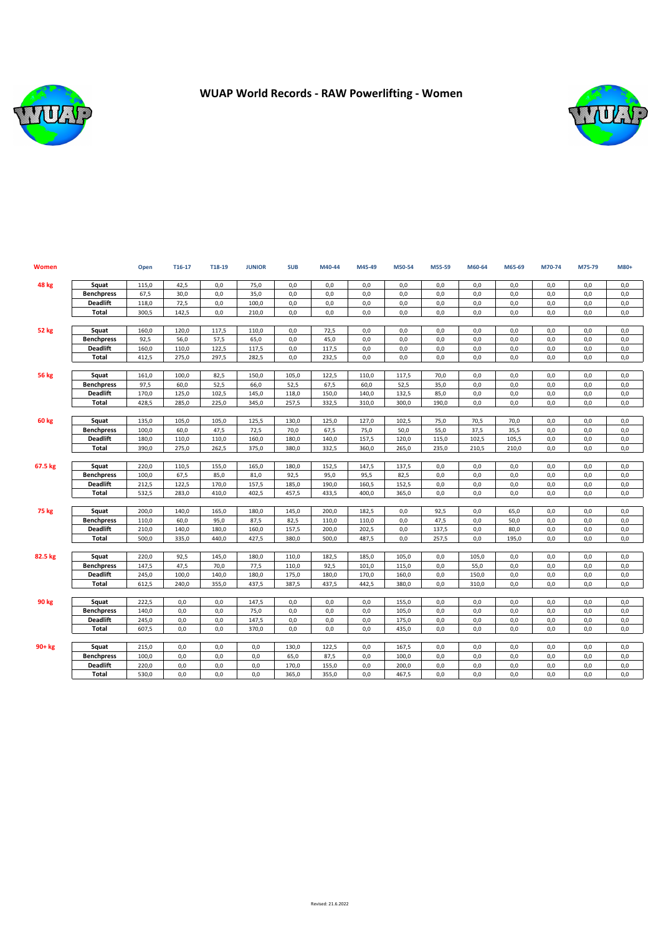

## **WUAP World Records - RAW Powerlifting - Women**



| Women        |                   | Open  | T16-17 | T18-19 | <b>JUNIOR</b> | <b>SUB</b> | M40-44 | M45-49 | M50-54 | M55-59 | M60-64 | M65-69 | M70-74 | M75-79 | M80+ |
|--------------|-------------------|-------|--------|--------|---------------|------------|--------|--------|--------|--------|--------|--------|--------|--------|------|
| <b>48 kg</b> | Squat             | 115,0 | 42,5   | 0,0    | 75,0          | 0,0        | 0,0    | 0,0    | 0,0    | 0,0    | 0,0    | 0,0    | 0,0    | 0,0    | 0,0  |
|              | <b>Benchpress</b> | 67,5  | 30,0   | 0,0    | 35,0          | 0,0        | 0,0    | 0,0    | 0,0    | 0,0    | 0,0    | 0,0    | 0,0    | 0,0    | 0,0  |
|              | <b>Deadlift</b>   | 118,0 | 72,5   | 0,0    | 100,0         | 0,0        | 0,0    | 0,0    | 0,0    | 0,0    | 0,0    | 0,0    | 0,0    | 0,0    | 0,0  |
|              | Total             | 300.5 | 142,5  | 0.0    | 210,0         | 0,0        | 0,0    | 0.0    | 0.0    | 0,0    | 0,0    | 0.0    | 0.0    | 0,0    | 0.0  |
|              |                   |       |        |        |               |            |        |        |        |        |        |        |        |        |      |
| 52 kg        | Squat             | 160,0 | 120,0  | 117,5  | 110.0         | 0,0        | 72,5   | 0.0    | 0,0    | 0,0    | 0,0    | 0.0    | 0.0    | 0,0    | 0,0  |
|              | <b>Benchpress</b> | 92,5  | 56,0   | 57,5   | 65,0          | 0,0        | 45,0   | 0,0    | 0,0    | 0,0    | 0,0    | 0,0    | 0,0    | 0,0    | 0,0  |
|              | <b>Deadlift</b>   | 160,0 | 110,0  | 122,5  | 117,5         | 0,0        | 117,5  | 0,0    | 0,0    | 0,0    | 0,0    | 0,0    | 0,0    | 0,0    | 0,0  |
|              | Total             | 412,5 | 275,0  | 297,5  | 282,5         | 0,0        | 232,5  | 0,0    | 0,0    | 0,0    | 0,0    | 0,0    | 0,0    | 0,0    | 0,0  |
|              |                   |       |        |        |               |            |        |        |        |        |        |        |        |        |      |
| <b>56 kg</b> | Squat             | 161,0 | 100,0  | 82,5   | 150,0         | 105,0      | 122,5  | 110,0  | 117,5  | 70,0   | 0,0    | 0.0    | 0.0    | 0,0    | 0,0  |
|              | <b>Benchpress</b> | 97,5  | 60,0   | 52,5   | 66.0          | 52,5       | 67,5   | 60.0   | 52,5   | 35,0   | 0,0    | 0.0    | 0.0    | 0,0    | 0,0  |
|              | <b>Deadlift</b>   | 170,0 | 125,0  | 102,5  | 145,0         | 118,0      | 150,0  | 140,0  | 132,5  | 85,0   | 0,0    | 0,0    | 0,0    | 0,0    | 0,0  |
|              | <b>Total</b>      | 428,5 | 285,0  | 225,0  | 345,0         | 257,5      | 332,5  | 310,0  | 300,0  | 190,0  | 0,0    | 0,0    | 0,0    | 0,0    | 0,0  |
| 60 kg        | Squat             | 135,0 | 105,0  | 105,0  | 125,5         | 130,0      | 125,0  | 127,0  | 102,5  | 75,0   | 70,5   | 70,0   | 0,0    | 0,0    | 0,0  |
|              | <b>Benchpress</b> | 100,0 | 60,0   | 47,5   | 72,5          | 70,0       | 67,5   | 75,0   | 50,0   | 55,0   | 37,5   | 35,5   | 0,0    | 0,0    | 0,0  |
|              | <b>Deadlift</b>   | 180,0 | 110,0  | 110,0  | 160,0         | 180,0      | 140,0  | 157,5  | 120,0  | 115,0  | 102,5  | 105,5  | 0,0    | 0,0    | 0,0  |
|              | <b>Total</b>      | 390,0 | 275,0  | 262,5  | 375,0         | 380,0      | 332,5  | 360,0  | 265,0  | 235,0  | 210,5  | 210,0  | 0,0    | 0,0    | 0,0  |
|              |                   |       |        |        |               |            |        |        |        |        |        |        |        |        |      |
| 67.5 kg      | Squat             | 220,0 | 110,5  | 155,0  | 165,0         | 180,0      | 152,5  | 147,5  | 137,5  | 0,0    | 0,0    | 0,0    | 0,0    | 0,0    | 0,0  |
|              | <b>Benchpress</b> | 100,0 | 67,5   | 85,0   | 81,0          | 92,5       | 95,0   | 95,5   | 82,5   | 0,0    | 0,0    | 0,0    | 0,0    | 0,0    | 0,0  |
|              | <b>Deadlift</b>   | 212,5 | 122,5  | 170,0  | 157,5         | 185,0      | 190,0  | 160,5  | 152,5  | 0,0    | 0,0    | 0,0    | 0.0    | 0,0    | 0,0  |
|              | Total             | 532,5 | 283,0  | 410,0  | 402,5         | 457,5      | 433,5  | 400,0  | 365,0  | 0,0    | 0,0    | 0,0    | 0,0    | 0,0    | 0,0  |
|              |                   |       |        |        |               |            |        |        |        |        |        |        |        |        |      |
| 75 kg        | Squat             | 200,0 | 140,0  | 165,0  | 180,0         | 145,0      | 200,0  | 182,5  | 0,0    | 92,5   | 0,0    | 65,0   | 0,0    | 0,0    | 0,0  |
|              | <b>Benchpress</b> | 110,0 | 60,0   | 95,0   | 87,5          | 82,5       | 110,0  | 110,0  | 0,0    | 47,5   | 0,0    | 50,0   | 0,0    | 0,0    | 0,0  |
|              | <b>Deadlift</b>   | 210,0 | 140,0  | 180,0  | 160,0         | 157,5      | 200,0  | 202,5  | 0,0    | 137,5  | 0,0    | 80,0   | 0,0    | 0,0    | 0,0  |
|              | Total             | 500,0 | 335,0  | 440,0  | 427,5         | 380,0      | 500,0  | 487,5  | 0,0    | 257,5  | 0,0    | 195,0  | 0,0    | 0,0    | 0,0  |
| 82.5 kg      | Squat             | 220.0 | 92,5   | 145,0  | 180.0         | 110.0      | 182,5  | 185,0  | 105.0  | 0,0    | 105,0  | 0.0    | 0,0    | 0,0    | 0,0  |
|              | <b>Benchpress</b> | 147,5 | 47,5   | 70,0   | 77,5          | 110,0      | 92,5   | 101,0  | 115,0  | 0,0    | 55,0   | 0,0    | 0,0    | 0,0    | 0,0  |
|              | <b>Deadlift</b>   | 245,0 | 100,0  | 140,0  | 180.0         | 175,0      | 180,0  | 170.0  | 160,0  | 0,0    | 150,0  | 0.0    | 0,0    | 0,0    | 0,0  |
|              | Total             | 612,5 | 240,0  | 355,0  | 437,5         | 387,5      | 437,5  | 442,5  | 380,0  | 0,0    | 310,0  | 0,0    | 0,0    | 0,0    | 0,0  |
|              |                   |       |        |        |               |            |        |        |        |        |        |        |        |        |      |
| 90 kg        | Squat             | 222,5 | 0,0    | 0,0    | 147,5         | 0,0        | 0,0    | 0,0    | 155,0  | 0,0    | 0,0    | 0,0    | 0,0    | 0,0    | 0,0  |
|              | <b>Benchpress</b> | 140.0 | 0,0    | 0.0    | 75,0          | 0,0        | 0,0    | 0.0    | 105,0  | 0,0    | 0,0    | 0.0    | 0.0    | 0,0    | 0,0  |
|              | <b>Deadlift</b>   | 245,0 | 0,0    | 0,0    | 147,5         | 0,0        | 0,0    | 0,0    | 175,0  | 0,0    | 0,0    | 0,0    | 0,0    | 0,0    | 0,0  |
|              | Total             | 607,5 | 0,0    | 0.0    | 370.0         | 0.0        | 0,0    | 0.0    | 435.0  | 0.0    | 0.0    | 0.0    | 0.0    | 0.0    | 0.0  |
|              |                   |       |        |        |               |            |        |        |        |        |        |        |        |        |      |
| $90+kg$      | Squat             | 215,0 | 0,0    | 0,0    | 0,0           | 130,0      | 122,5  | 0,0    | 167,5  | 0,0    | 0,0    | 0,0    | 0,0    | 0,0    | 0,0  |
|              | <b>Benchpress</b> | 100,0 | 0,0    | 0,0    | 0,0           | 65,0       | 87,5   | 0,0    | 100,0  | 0,0    | 0,0    | 0,0    | 0,0    | 0,0    | 0,0  |
|              | <b>Deadlift</b>   | 220,0 | 0,0    | 0,0    | 0,0           | 170,0      | 155,0  | 0,0    | 200,0  | 0,0    | 0,0    | 0,0    | 0,0    | 0,0    | 0,0  |
|              | <b>Total</b>      | 530.0 | 0,0    | 0.0    | 0.0           | 365,0      | 355,0  | 0.0    | 467,5  | 0,0    | 0.0    | 0.0    | 0.0    | 0.0    | 0.0  |
|              |                   |       |        |        |               |            |        |        |        |        |        |        |        |        |      |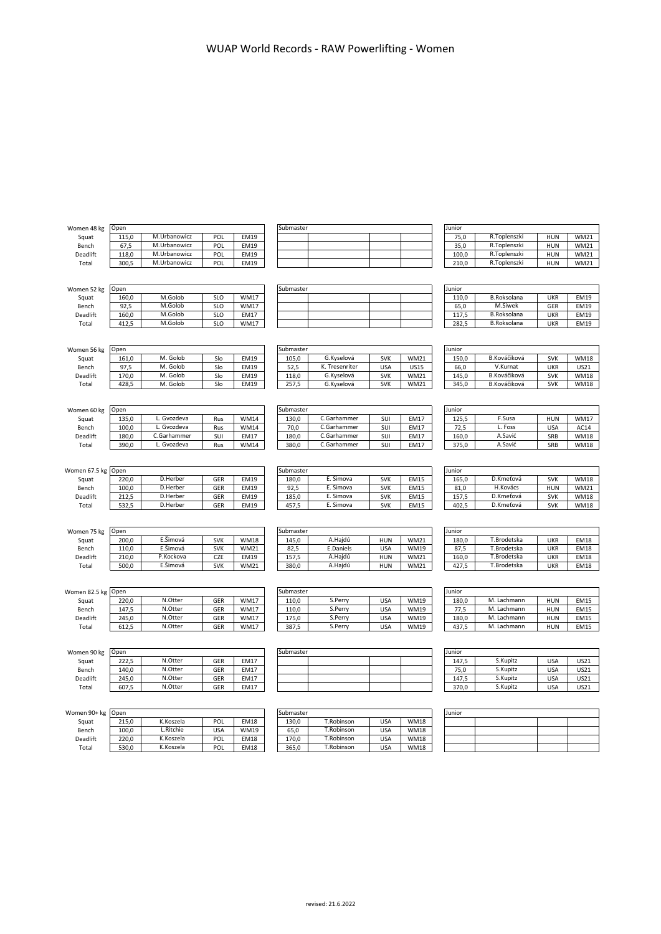| Women 48 kg   | Open  |                    |            |             | Submaster |                    |            |             | Junior |                            |            |             |
|---------------|-------|--------------------|------------|-------------|-----------|--------------------|------------|-------------|--------|----------------------------|------------|-------------|
| Squat         | 115,0 | M.Urbanowicz       | POL        | <b>EM19</b> |           |                    |            |             | 75,0   | R.Toplenszki               | <b>HUN</b> | <b>WM21</b> |
| Bench         | 67,5  | M.Urbanowicz       | POL        | <b>EM19</b> |           |                    |            |             | 35,0   | R.Toplenszki               | <b>HUN</b> | <b>WM21</b> |
| Deadlift      | 118,0 | M.Urbanowicz       | POL        | <b>EM19</b> |           |                    |            |             | 100,0  | R.Toplenszki               | <b>HUN</b> | <b>WM21</b> |
| Total         | 300,5 | M.Urbanowicz       | POL        | <b>EM19</b> |           |                    |            |             | 210,0  | R.Toplenszki               | <b>HUN</b> | <b>WM21</b> |
|               |       |                    |            |             |           |                    |            |             |        |                            |            |             |
|               |       |                    |            |             |           |                    |            |             |        |                            |            |             |
| Women 52 kg   | Open  |                    |            |             | Submaster |                    |            |             | Junior |                            |            |             |
| Squat         | 160,0 | M.Golob            | <b>SLO</b> | <b>WM17</b> |           |                    |            |             | 110,0  | <b>B.Roksolana</b>         | <b>UKR</b> | <b>EM19</b> |
| Bench         | 92,5  | M.Golob            | <b>SLO</b> | WM17        |           |                    |            |             | 65,0   | M.Siwek                    | GER        | EM19        |
| Deadlift      | 160,0 | M.Golob            | <b>SLO</b> | <b>EM17</b> |           |                    |            |             | 117,5  | <b>B.Roksolana</b>         | <b>UKR</b> | EM19        |
| Total         | 412,5 | M.Golob            | <b>SLO</b> | <b>WM17</b> |           |                    |            |             | 282,5  | <b>B.Roksolana</b>         | <b>UKR</b> | <b>EM19</b> |
|               |       |                    |            |             |           |                    |            |             |        |                            |            |             |
|               |       |                    |            |             |           |                    |            |             |        |                            |            |             |
| Women 56 kg   | Open  |                    |            |             | Submaster |                    |            |             | Junior |                            |            |             |
| Squat         | 161,0 | M. Golob           | Slo        | <b>EM19</b> | 105,0     | G.Kyselová         | <b>SVK</b> | <b>WM21</b> | 150,0  | B.Kováčiková               | <b>SVK</b> | <b>WM18</b> |
| Bench         | 97.5  | M. Golob           | Slo        | EM19        | 52,5      | K. Tresenriter     | <b>USA</b> | <b>US15</b> | 66,0   | V.Kurnat                   | <b>UKR</b> | <b>US21</b> |
| Deadlift      | 170,0 | M. Golob           | Slo        | <b>EM19</b> | 118,0     | G.Kyselová         | <b>SVK</b> | <b>WM21</b> | 145,0  | B.Kováčiková               | <b>SVK</b> | <b>WM18</b> |
| Total         | 428,5 | M. Golob           | Slo        | <b>EM19</b> | 257,5     | G.Kyselová         | <b>SVK</b> | <b>WM21</b> | 345,0  | B.Kováčiková               | <b>SVK</b> | <b>WM18</b> |
|               |       |                    |            |             |           |                    |            |             |        |                            |            |             |
|               |       |                    |            |             |           |                    |            |             |        |                            |            |             |
| Women 60 kg   | Open  |                    |            |             | Submaster |                    |            |             | Junior |                            |            |             |
| Squat         | 135,0 | L. Gvozdeva        | Rus        | <b>WM14</b> | 130,0     | C.Garhammer        | SUI        | <b>EM17</b> | 125,5  | F.Susa                     | <b>HUN</b> | <b>WM17</b> |
| Bench         | 100,0 | L. Gvozdeva        | Rus        | <b>WM14</b> | 70,0      | C.Garhammer        | SUI        | EM17        | 72,5   | L. Foss                    | <b>USA</b> | AC14        |
| Deadlift      | 180,0 | C.Garhammer        | SUI        | <b>EM17</b> | 180,0     | C.Garhammer        | SUI        | EM17        | 160,0  | A.Savić                    | SRB        | <b>WM18</b> |
| Total         | 390,0 | L. Gvozdeva        | Rus        | WM14        | 380,0     | C.Garhammer        | SUI        | EM17        | 375,0  | A.Savić                    | SRB        | <b>WM18</b> |
|               |       |                    |            |             |           |                    |            |             |        |                            |            |             |
|               |       |                    |            |             |           |                    |            |             |        |                            |            |             |
| Women 67.5 kg | Open  |                    |            |             | Submaster |                    |            |             | Junior |                            |            |             |
| Squat         | 220,0 | D.Herber           | GER        | <b>EM19</b> | 180,0     | E. Simova          | <b>SVK</b> | <b>EM15</b> | 165,0  | D.Kmeťová                  | <b>SVK</b> | <b>WM18</b> |
| Bench         | 100,0 | D.Herber           | GER        | <b>EM19</b> | 92,5      | E. Simova          | <b>SVK</b> | <b>EM15</b> | 81,0   | H.Kovács                   | <b>HUN</b> | <b>WM21</b> |
| Deadlift      | 212,5 | D.Herber           | GER        | <b>EM19</b> | 185,0     | E. Simova          | <b>SVK</b> | EM15        | 157,5  | D.Kmeťová                  | <b>SVK</b> | <b>WM18</b> |
| Total         | 532,5 | D.Herber           | GER        | <b>EM19</b> | 457,5     | E. Simova          | <b>SVK</b> | <b>EM15</b> | 402,5  | D.Kmeťová                  | <b>SVK</b> | <b>WM18</b> |
|               |       |                    |            |             |           |                    |            |             |        |                            |            |             |
|               |       |                    |            |             |           |                    |            |             |        |                            |            |             |
| Women 75 kg   | Open  |                    |            |             | Submaster |                    |            |             | Junior |                            |            |             |
| Squat         | 200,0 | E.Šimová           | <b>SVK</b> | <b>WM18</b> | 145,0     | A.Hajdú            | <b>HUN</b> | <b>WM21</b> | 180,0  | T.Brodetska                | <b>UKR</b> | <b>EM18</b> |
| Bench         | 110,0 | E.Šimová           | <b>SVK</b> | <b>WM21</b> | 82,5      | E.Daniels          | <b>USA</b> | <b>WM19</b> | 87,5   | T.Brodetska                | <b>UKR</b> | <b>EM18</b> |
|               |       | P.Kockova          |            |             |           | A.Hajdú            |            |             |        | T.Brodetska                |            |             |
| Deadlift      | 210,0 | E.Šimová           | CZE        | EM19        | 157,5     | A.Hajdú            | <b>HUN</b> | <b>WM21</b> | 160,0  | T.Brodetska                | <b>UKR</b> | <b>EM18</b> |
| Total         | 500,0 |                    | <b>SVK</b> | <b>WM21</b> | 380,0     |                    | <b>HUN</b> | <b>WM21</b> | 427,5  |                            | <b>UKR</b> | <b>EM18</b> |
|               |       |                    |            |             |           |                    |            |             |        |                            |            |             |
|               |       |                    |            |             | Submaster |                    |            |             | Junior |                            |            |             |
| Women 82.5 kg | Open  |                    |            |             |           |                    |            |             |        |                            |            |             |
| Squat         | 220,0 | N.Otter<br>N.Otter | GER        | <b>WM17</b> | 110,0     | S.Perry<br>S.Perry | <b>USA</b> | <b>WM19</b> | 180,0  | M. Lachmann<br>M. Lachmann | <b>HUN</b> | <b>EM15</b> |
| Bench         | 147,5 | N.Otter            | GER        | <b>WM17</b> | 110,0     | S.Perry            | <b>USA</b> | <b>WM19</b> | 77,5   | M. Lachmann                | <b>HUN</b> | <b>EM15</b> |
| Deadlift      | 245,0 |                    | GER        | WM17        | 175,0     |                    | <b>USA</b> | <b>WM19</b> | 180,0  |                            | <b>HUN</b> | <b>EM15</b> |
| Total         | 612,5 | N.Otter            | GER        | WM17        | 387,5     | S.Perry            | <b>USA</b> | <b>WM19</b> | 437,5  | M. Lachmann                | <b>HUN</b> | <b>EM15</b> |
|               |       |                    |            |             |           |                    |            |             |        |                            |            |             |
|               |       |                    |            |             |           |                    |            |             |        |                            |            |             |
| Women 90 kg   | Open  |                    |            |             | Submaster |                    |            |             | Junior |                            |            |             |
| Squat         | 222,5 | N.Otter            | GER        | <b>EM17</b> |           |                    |            |             | 147,5  | S.Kupitz                   | <b>USA</b> | US21        |
| Bench         | 140,0 | N.Otter            | GER        | <b>EM17</b> |           |                    |            |             | 75,0   | S.Kupitz                   | <b>USA</b> | US21        |
| Deadlift      | 245,0 | N.Otter            | GER        | <b>EM17</b> |           |                    |            |             | 147,5  | S.Kupitz                   | <b>USA</b> | US21        |
| Total         | 607,5 | N.Otter            | GER        | <b>EM17</b> |           |                    |            |             | 370,0  | S.Kupitz                   | <b>USA</b> | <b>US21</b> |
|               |       |                    |            |             |           |                    |            |             |        |                            |            |             |
|               |       |                    |            |             |           |                    |            |             |        |                            |            |             |
| Women 90+ kg  | Open  |                    |            |             | Submaster |                    |            |             | Junior |                            |            |             |
| Squat         | 215,0 | K.Koszela          | POL        | <b>EM18</b> | 130,0     | T.Robinson         | <b>USA</b> | <b>WM18</b> |        |                            |            |             |
| Bench         | 100,0 | L.Ritchie          | <b>USA</b> | WM19        | 65,0      | T.Robinson         | <b>USA</b> | <b>WM18</b> |        |                            |            |             |
| Deadlift      | 220,0 | K.Koszela          | POL        | <b>EM18</b> | 170,0     | T.Robinson         | <b>USA</b> | <b>WM18</b> |        |                            |            |             |
| Total         | 530,0 | K.Koszela          | POL        | <b>EM18</b> | 365,0     | T.Robinson         | <b>USA</b> | <b>WM18</b> |        |                            |            |             |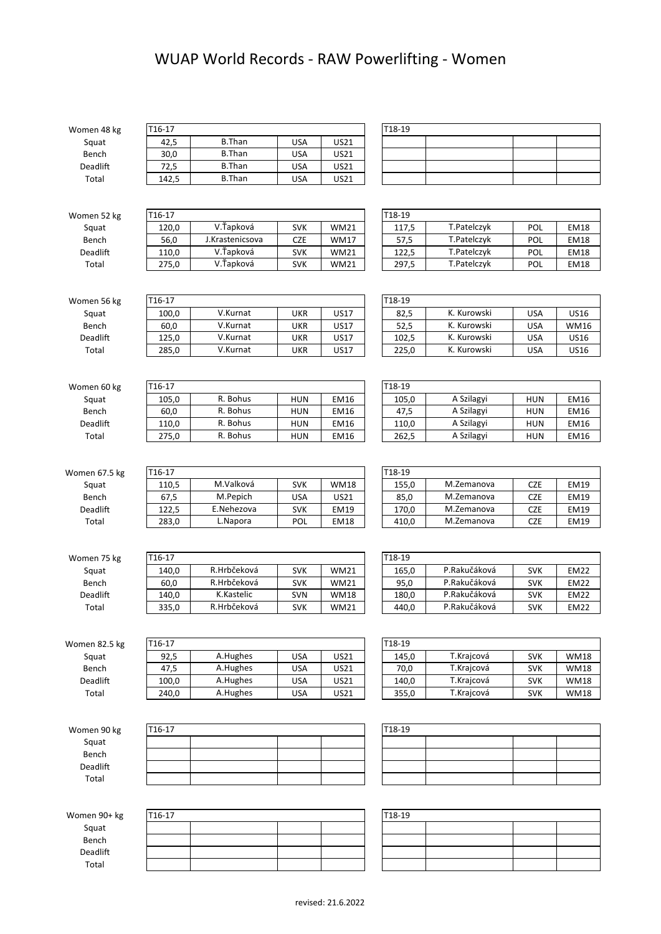## WUAP World Records - RAW Powerlifting - Women

| Women 48 kg   | T16-17 |                 |            |             | T18-19 |              |            |             |
|---------------|--------|-----------------|------------|-------------|--------|--------------|------------|-------------|
| Squat         | 42,5   | <b>B.Than</b>   | <b>USA</b> | US21        |        |              |            |             |
| Bench         | 30,0   | <b>B.Than</b>   | <b>USA</b> | US21        |        |              |            |             |
| Deadlift      | 72,5   | <b>B.Than</b>   | <b>USA</b> | US21        |        |              |            |             |
| Total         | 142,5  | <b>B.Than</b>   | <b>USA</b> | US21        |        |              |            |             |
|               |        |                 |            |             |        |              |            |             |
|               |        |                 |            |             |        |              |            |             |
| Women 52 kg   | T16-17 |                 |            |             | T18-19 |              |            |             |
| Squat         | 120,0  | V.Ťapková       | <b>SVK</b> | <b>WM21</b> | 117,5  | T.Patelczyk  | POL        | <b>EM18</b> |
| Bench         | 56,0   | J.Krastenicsova | <b>CZE</b> | <b>WM17</b> | 57,5   | T.Patelczyk  | <b>POL</b> | <b>EM18</b> |
| Deadlift      | 110,0  | V.Ťapková       | <b>SVK</b> | <b>WM21</b> | 122,5  | T.Patelczyk  | POL        | <b>EM18</b> |
| Total         | 275,0  | V.Ťapková       | <b>SVK</b> | <b>WM21</b> | 297,5  | T.Patelczyk  | <b>POL</b> | <b>EM18</b> |
|               |        |                 |            |             |        |              |            |             |
|               |        |                 |            |             |        |              |            |             |
| Women 56 kg   | T16-17 |                 |            |             | T18-19 |              |            |             |
| Squat         | 100,0  | V.Kurnat        | <b>UKR</b> | <b>US17</b> | 82,5   | K. Kurowski  | <b>USA</b> | US16        |
| Bench         | 60,0   | V.Kurnat        | <b>UKR</b> | <b>US17</b> | 52,5   | K. Kurowski  | <b>USA</b> | <b>WM16</b> |
| Deadlift      | 125,0  | V.Kurnat        | <b>UKR</b> | <b>US17</b> | 102,5  | K. Kurowski  | <b>USA</b> | US16        |
| Total         | 285,0  | V.Kurnat        | <b>UKR</b> | <b>US17</b> | 225,0  | K. Kurowski  | <b>USA</b> | <b>US16</b> |
|               |        |                 |            |             |        |              |            |             |
|               |        |                 |            |             |        |              |            |             |
| Women 60 kg   | T16-17 |                 |            |             | T18-19 |              |            |             |
| Squat         | 105,0  | R. Bohus        | <b>HUN</b> | <b>EM16</b> | 105,0  | A Szilagyi   | <b>HUN</b> | EM16        |
| Bench         | 60,0   | R. Bohus        | <b>HUN</b> | <b>EM16</b> | 47,5   | A Szilagyi   | <b>HUN</b> | EM16        |
| Deadlift      | 110,0  | R. Bohus        | <b>HUN</b> | EM16        | 110,0  | A Szilagyi   | <b>HUN</b> | EM16        |
| Total         | 275,0  | R. Bohus        | <b>HUN</b> | EM16        | 262,5  | A Szilagyi   | <b>HUN</b> | EM16        |
|               |        |                 |            |             |        |              |            |             |
|               |        |                 |            |             |        |              |            |             |
| Women 67.5 kg | T16-17 |                 |            |             | T18-19 |              |            |             |
| Squat         | 110,5  | M.Valková       | <b>SVK</b> | <b>WM18</b> | 155,0  | M.Zemanova   | <b>CZE</b> | <b>EM19</b> |
| Bench         | 67,5   | M.Pepich        | <b>USA</b> | US21        | 85,0   | M.Zemanova   | <b>CZE</b> | <b>EM19</b> |
| Deadlift      | 122,5  | E.Nehezova      | <b>SVK</b> | <b>EM19</b> | 170,0  | M.Zemanova   | <b>CZE</b> | <b>EM19</b> |
| Total         | 283,0  | L.Napora        | POL        | <b>EM18</b> | 410,0  | M.Zemanova   | <b>CZE</b> | <b>EM19</b> |
|               |        |                 |            |             |        |              |            |             |
| Women 75 kg   | T16-17 |                 |            |             | T18-19 |              |            |             |
| Squat         | 140,0  | R.Hrbčeková     | <b>SVK</b> | <b>WM21</b> | 165,0  | P.Rakučáková | <b>SVK</b> | <b>EM22</b> |
| Bench         | 60,0   | R.Hrbčeková     | <b>SVK</b> | <b>WM21</b> | 95,0   | P.Rakučáková | <b>SVK</b> | <b>EM22</b> |
| Deadlift      | 140,0  | K.Kastelic      | SVN        | <b>WM18</b> | 180,0  | P.Rakučáková | <b>SVK</b> | <b>EM22</b> |
| Total         | 335,0  | R.Hrbčeková     | <b>SVK</b> | <b>WM21</b> | 440,0  | P.Rakučáková | <b>SVK</b> | <b>EM22</b> |
|               |        |                 |            |             |        |              |            |             |
|               |        |                 |            |             |        |              |            |             |
| Women 82.5 kg | T16-17 |                 |            |             | T18-19 |              |            |             |
| Squat         | 92,5   | A.Hughes        | <b>USA</b> | US21        | 145,0  | T.Krajcová   | <b>SVK</b> | <b>WM18</b> |
| Bench         | 47,5   | A.Hughes        | <b>USA</b> | US21        | 70,0   | T.Krajcová   | <b>SVK</b> | <b>WM18</b> |
| Deadlift      | 100,0  | A.Hughes        | <b>USA</b> | US21        | 140,0  | T.Krajcová   | <b>SVK</b> | <b>WM18</b> |
| Total         | 240,0  | A.Hughes        | <b>USA</b> | US21        | 355,0  | T.Krajcová   | <b>SVK</b> | <b>WM18</b> |
|               |        |                 |            |             |        |              |            |             |
|               |        |                 |            |             |        |              |            |             |
| Women 90 kg   | T16-17 |                 |            |             | T18-19 |              |            |             |
| Squat         |        |                 |            |             |        |              |            |             |
| Bench         |        |                 |            |             |        |              |            |             |
| Deadlift      |        |                 |            |             |        |              |            |             |
| Total         |        |                 |            |             |        |              |            |             |
|               |        |                 |            |             |        |              |            |             |
|               |        |                 |            |             |        |              |            |             |
| Women 90+ kg  | T16-17 |                 |            |             | T18-19 |              |            |             |
| Squat         |        |                 |            |             |        |              |            |             |
| Bench         |        |                 |            |             |        |              |            |             |
| Deadlift      |        |                 |            |             |        |              |            |             |
| Total         |        |                 |            |             |        |              |            |             |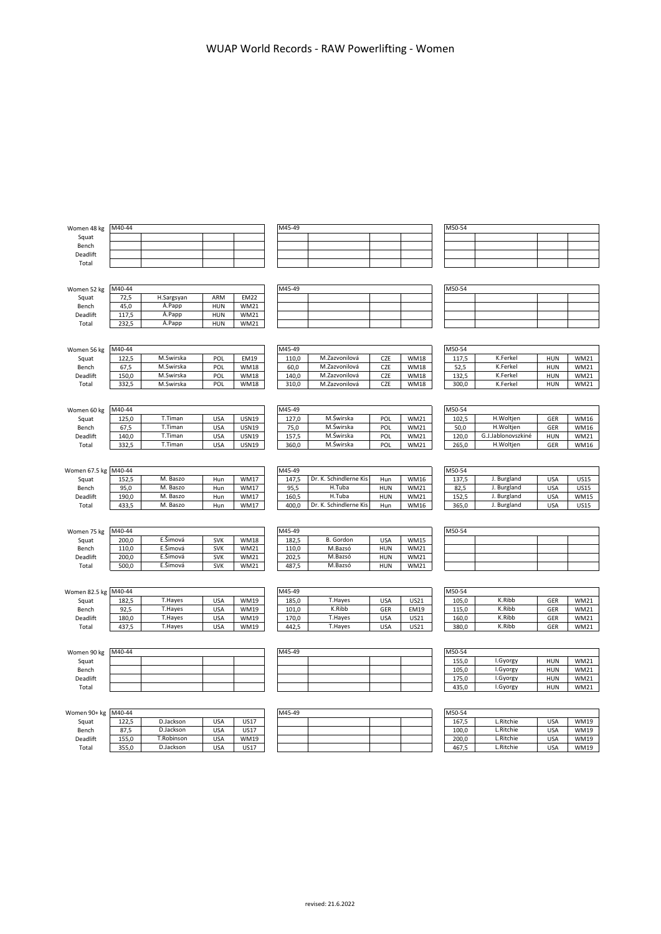| Women 48 kg          | M40-44        |            |            |                            | M45-49 |                        |                   |             | M50-54        |                    |                          |             |
|----------------------|---------------|------------|------------|----------------------------|--------|------------------------|-------------------|-------------|---------------|--------------------|--------------------------|-------------|
| Squat                |               |            |            |                            |        |                        |                   |             |               |                    |                          |             |
| Bench                |               |            |            |                            |        |                        |                   |             |               |                    |                          |             |
| Deadlift             |               |            |            |                            |        |                        |                   |             |               |                    |                          |             |
| Total                |               |            |            |                            |        |                        |                   |             |               |                    |                          |             |
|                      |               |            |            |                            |        |                        |                   |             |               |                    |                          |             |
|                      | M40-44        |            |            |                            | M45-49 |                        |                   |             | M50-54        |                    |                          |             |
| Women 52 kg          |               | H.Sargsyan | ARM        | <b>EM22</b>                |        |                        |                   |             |               |                    |                          |             |
| Squat<br>Bench       | 72,5<br>45,0  | Á.Papp     | HUN        | <b>WM21</b>                |        |                        |                   |             |               |                    |                          |             |
| Deadlift             | 117,5         | Á.Papp     | <b>HUN</b> | <b>WM21</b>                |        |                        |                   |             |               |                    |                          |             |
| Total                | 232,5         | Á.Papp     | <b>HUN</b> | <b>WM21</b>                |        |                        |                   |             |               |                    |                          |             |
|                      |               |            |            |                            |        |                        |                   |             |               |                    |                          |             |
|                      |               |            |            |                            |        |                        |                   |             |               |                    |                          |             |
| Women 56 kg          | M40-44        |            |            |                            | M45-49 |                        |                   |             | M50-54        |                    |                          |             |
| Squat                | 122,5         | M.Swirska  | POL        | EM19                       | 110,0  | M.Zazvonilová          | CZE               | <b>WM18</b> | 117,5         | K.Ferkel           | HUN                      | WM21        |
| Bench                | 67,5          | M.Swirska  | POL        | <b>WM18</b>                | 60,0   | M.Zazvonilová          | CZE               | <b>WM18</b> | 52,5          | K.Ferkel           | <b>HUN</b>               | WM21        |
| Deadlift             | 150,0         | M.Swirska  | POL        | <b>WM18</b>                | 140,0  | M.Zazvonilová          | CZE               | <b>WM18</b> | 132,5         | K.Ferkel           | <b>HUN</b>               | <b>WM21</b> |
| Total                | 332,5         | M.Swirska  | POL        | <b>WM18</b>                | 310,0  | M.Zazvonilová          | CZE               | <b>WM18</b> | 300,0         | K.Ferkel           | <b>HUN</b>               | WM21        |
|                      |               |            |            |                            |        |                        |                   |             |               |                    |                          |             |
|                      |               |            |            |                            |        |                        |                   |             |               |                    |                          |             |
| Women 60 kg          | M40-44        |            |            |                            | M45-49 |                        |                   |             | M50-54        |                    |                          |             |
| Squat                | 125,0         | T.Timan    | <b>USA</b> | <b>USN19</b>               | 127,0  | M.Świrska              | POL               | <b>WM21</b> | 102,5         | H.Woltjen          | GER                      | <b>WM16</b> |
| Bench                | 67,5          | T.Timan    | <b>USA</b> | <b>USN19</b>               | 75,0   | M.Świrska              | POL               | <b>WM21</b> | 50,0          | H.Woltjen          | GER                      | <b>WM16</b> |
| Deadlift             | 140,0         | T.Timan    | <b>USA</b> | <b>USN19</b>               | 157,5  | M.Świrska              | POL               | <b>WM21</b> | 120,0         | G.J.Jablonovszkiné | <b>HUN</b>               | WM21        |
| Total                | 332,5         | T.Timan    | <b>USA</b> | <b>USN19</b>               | 360,0  | M.Świrska              | POL               | <b>WM21</b> | 265,0         | H.Woltjen          | GER                      | WM16        |
|                      |               |            |            |                            |        |                        |                   |             |               |                    |                          |             |
|                      | M40-44        |            |            |                            | M45-49 |                        |                   |             | M50-54        |                    |                          |             |
| Women 67.5 kg        |               | M. Baszo   |            |                            | 147,5  | Dr. K. Schindlerne Kis |                   | <b>WM16</b> |               | J. Burgland        |                          | <b>US15</b> |
| Squat<br>Bench       | 152,5<br>95,0 | M. Baszo   | Hun<br>Hun | <b>WM17</b><br><b>WM17</b> | 95,5   | H.Tuba                 | Hun<br><b>HUN</b> | <b>WM21</b> | 137,5<br>82,5 | J. Burgland        | <b>USA</b><br><b>USA</b> | <b>US15</b> |
| Deadlift             | 190,0         | M. Baszo   | Hun        | <b>WM17</b>                | 160,5  | H.Tuba                 | <b>HUN</b>        | <b>WM21</b> | 152,5         | J. Burgland        | <b>USA</b>               | WM15        |
| Total                | 433,5         |            |            | <b>WM17</b>                | 400,0  | Dr. K. Schindlerne Kis | Hun               | <b>WM16</b> | 365,0         | J. Burgland        | <b>USA</b>               | <b>US15</b> |
|                      |               |            |            |                            |        |                        |                   |             |               |                    |                          |             |
|                      |               | M. Baszo   | Hun        |                            |        |                        |                   |             |               |                    |                          |             |
|                      |               |            |            |                            |        |                        |                   |             |               |                    |                          |             |
| Women 75 kg          | M40-44        |            |            |                            | M45-49 |                        |                   |             | M50-54        |                    |                          |             |
| Squat                | 200,0         | E.Šimová   | <b>SVK</b> | <b>WM18</b>                | 182,5  | <b>B.</b> Gordon       | <b>USA</b>        | <b>WM15</b> |               |                    |                          |             |
| Bench                | 110,0         | E.Šimová   | <b>SVK</b> | <b>WM21</b>                | 110,0  | M.Bazsó                | <b>HUN</b>        | <b>WM21</b> |               |                    |                          |             |
| Deadlift             | 200,0         | E.Šimová   | <b>SVK</b> | <b>WM21</b>                | 202,5  | M.Bazsó                | <b>HUN</b>        | <b>WM21</b> |               |                    |                          |             |
| Total                | 500,0         | E.Šimová   | <b>SVK</b> | <b>WM21</b>                | 487,5  | M.Bazsó                | <b>HUN</b>        | <b>WM21</b> |               |                    |                          |             |
|                      |               |            |            |                            |        |                        |                   |             |               |                    |                          |             |
|                      |               |            |            |                            |        |                        |                   |             |               |                    |                          |             |
| Women 82.5 kg M40-44 |               |            |            |                            | M45-49 |                        |                   |             | M50-54        |                    |                          |             |
| Squat                | 182,5         | T.Hayes    | <b>USA</b> | <b>WM19</b>                | 185,0  | T.Hayes                | <b>USA</b>        | US21        | 105,0         | K.Ribb             | GER                      | <b>WM21</b> |
| Bench                | 92,5          | T.Hayes    | <b>USA</b> | <b>WM19</b>                | 101,0  | K.Ribb                 | GER               | EM19        | 115,0         | K.Ribb             | GER                      | WM21        |
| Deadlift             | 180,0         | T.Hayes    | <b>USA</b> | <b>WM19</b>                | 170,0  | T.Hayes                | <b>USA</b>        | US21        | 160,0         | K.Ribb             | GER                      | <b>WM21</b> |
| Total                | 437,5         | T.Hayes    | <b>USA</b> | <b>WM19</b>                | 442,5  | T.Hayes                | <b>USA</b>        | US21        | 380,0         | K.Ribb             | GER                      | <b>WM21</b> |
|                      |               |            |            |                            |        |                        |                   |             |               |                    |                          |             |
|                      |               |            |            |                            |        |                        |                   |             |               |                    |                          |             |
| Women 90 kg          | M40-44        |            |            |                            | M45-49 |                        |                   |             | M50-54        |                    |                          |             |
| Squat                |               |            |            |                            |        |                        |                   |             | 155,0         | I.Gyorgy           | <b>HUN</b>               | <b>WM21</b> |
| Bench                |               |            |            |                            |        |                        |                   |             | 105,0         | I.Gyorgy           | <b>HUN</b>               | <b>WM21</b> |
| Deadlift             |               |            |            |                            |        |                        |                   |             | 175,0         | I.Gyorgy           | <b>HUN</b>               | WM21        |
| Total                |               |            |            |                            |        |                        |                   |             | 435,0         | I.Gyorgy           | <b>HUN</b>               | WM21        |

| Women 90+ kg M40-44 |       |            |            |             | M45-49 |  |  | M50-54 |           |            |             |
|---------------------|-------|------------|------------|-------------|--------|--|--|--------|-----------|------------|-------------|
| Squat               | 122.5 | D.Jackson  | USA        | US17        |        |  |  | 167.5  | Ritchie   | <b>USA</b> | <b>WM19</b> |
| Bench               | 87.5  | D.Jackson  | <b>USA</b> | <b>US17</b> |        |  |  | 100.0  | .Ritchie  | <b>USA</b> | <b>WM19</b> |
| Deadlift            | 155.0 | T.Robinson | <b>USA</b> | <b>WM19</b> |        |  |  | 200.0  | Ritchie   | <b>USA</b> | <b>WM19</b> |
| Total               | 355,0 | D.Jackson  | <b>USA</b> | US17        |        |  |  | 467,5  | L.Ritchie | <b>USA</b> | <b>WM19</b> |

|            |     |             | M45-49 |  |  | M50-54 |           |
|------------|-----|-------------|--------|--|--|--------|-----------|
| D.Jackson  | USA | <b>US17</b> |        |  |  | 167.5  | L.Ritchie |
| D.Jackson  | USA | US17        |        |  |  | 100.0  | L.Ritchie |
| T.Robinson | USA | <b>WM19</b> |        |  |  | 200.0  | L.Ritchie |
| D.Jackson  | USA | US17        |        |  |  | 467.5  | L.Ritchie |

| M50-54 |           |            |             |
|--------|-----------|------------|-------------|
| 167.5  | L.Ritchie | <b>USA</b> | <b>WM19</b> |
| 100,0  | L.Ritchie | <b>USA</b> | <b>WM19</b> |
| 200.0  | L.Ritchie | <b>USA</b> | <b>WM19</b> |
| 467.5  | L.Ritchie | <b>USA</b> | WM19        |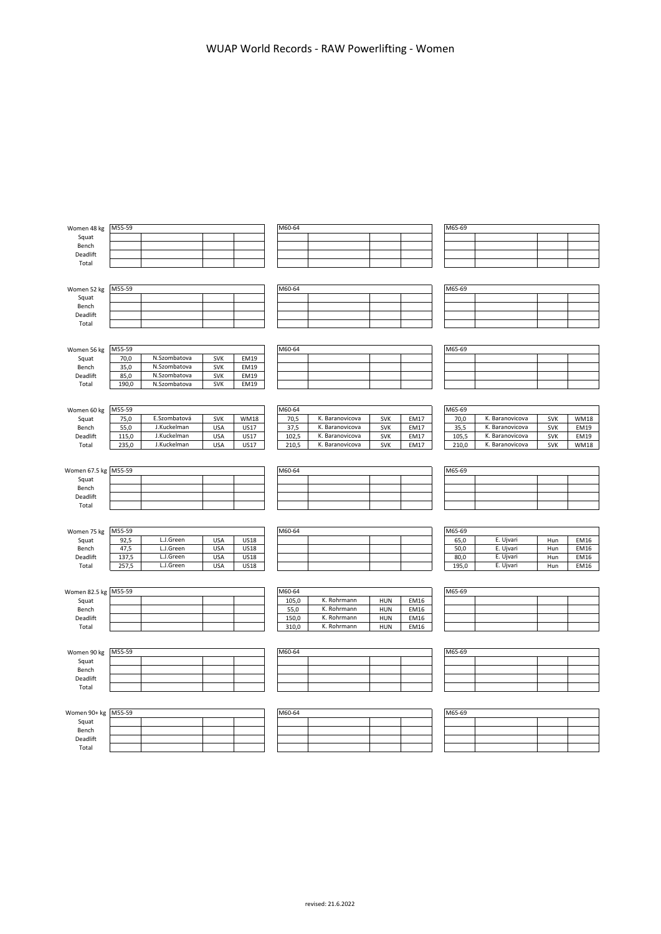| Women 48 kg          | M55-59 |              |            |             | M60-64 |                 |            |             | M65-69 |                 |            |             |
|----------------------|--------|--------------|------------|-------------|--------|-----------------|------------|-------------|--------|-----------------|------------|-------------|
| Squat                |        |              |            |             |        |                 |            |             |        |                 |            |             |
| Bench                |        |              |            |             |        |                 |            |             |        |                 |            |             |
| Deadlift             |        |              |            |             |        |                 |            |             |        |                 |            |             |
| Total                |        |              |            |             |        |                 |            |             |        |                 |            |             |
|                      |        |              |            |             |        |                 |            |             |        |                 |            |             |
|                      |        |              |            |             |        |                 |            |             |        |                 |            |             |
| Women 52 kg          | M55-59 |              |            |             | M60-64 |                 |            |             | M65-69 |                 |            |             |
| Squat                |        |              |            |             |        |                 |            |             |        |                 |            |             |
| Bench                |        |              |            |             |        |                 |            |             |        |                 |            |             |
| Deadlift             |        |              |            |             |        |                 |            |             |        |                 |            |             |
| Total                |        |              |            |             |        |                 |            |             |        |                 |            |             |
|                      |        |              |            |             |        |                 |            |             |        |                 |            |             |
| Women 56 kg          | M55-59 |              |            |             | M60-64 |                 |            |             | M65-69 |                 |            |             |
| Squat                | 70,0   | N.Szombatova | <b>SVK</b> | EM19        |        |                 |            |             |        |                 |            |             |
| Bench                | 35,0   | N.Szombatova | <b>SVK</b> | EM19        |        |                 |            |             |        |                 |            |             |
| Deadlift             | 85,0   | N.Szombatova | <b>SVK</b> | EM19        |        |                 |            |             |        |                 |            |             |
| Total                | 190,0  | N.Szombatova | <b>SVK</b> | <b>EM19</b> |        |                 |            |             |        |                 |            |             |
|                      |        |              |            |             |        |                 |            |             |        |                 |            |             |
|                      |        |              |            |             |        |                 |            |             |        |                 |            |             |
| Women 60 kg          | M55-59 |              |            |             | M60-64 |                 |            |             | M65-69 |                 |            |             |
| Squat                | 75,0   | E.Szombatová | <b>SVK</b> | <b>WM18</b> | 70,5   | K. Baranovicova | <b>SVK</b> | EM17        | 70,0   | K. Baranovicova | <b>SVK</b> | <b>WM18</b> |
| Bench                | 55,0   | J.Kuckelman  | <b>USA</b> | <b>US17</b> | 37,5   | K. Baranovicova | <b>SVK</b> | EM17        | 35,5   | K. Baranovicova | <b>SVK</b> | <b>EM19</b> |
| Deadlift             | 115,0  | J.Kuckelman  | <b>USA</b> | US17        | 102,5  | K. Baranovicova | <b>SVK</b> | <b>EM17</b> | 105,5  | K. Baranovicova | <b>SVK</b> | <b>EM19</b> |
| Total                | 235,0  | J.Kuckelman  | <b>USA</b> | US17        | 210,5  | K. Baranovicova | <b>SVK</b> | <b>EM17</b> | 210,0  | K. Baranovicova | <b>SVK</b> | <b>WM18</b> |
|                      |        |              |            |             |        |                 |            |             |        |                 |            |             |
|                      |        |              |            |             | M60-64 |                 |            |             | M65-69 |                 |            |             |
| Women 67.5 kg M55-59 |        |              |            |             |        |                 |            |             |        |                 |            |             |
| Squat                |        |              |            |             |        |                 |            |             |        |                 |            |             |
| Bench                |        |              |            |             |        |                 |            |             |        |                 |            |             |
| Deadlift<br>Total    |        |              |            |             |        |                 |            |             |        |                 |            |             |
|                      |        |              |            |             |        |                 |            |             |        |                 |            |             |
|                      |        |              |            |             |        |                 |            |             |        |                 |            |             |
| Women 75 kg          | M55-59 |              |            |             | M60-64 |                 |            |             | M65-69 |                 |            |             |
| Squat                | 92,5   | L.J.Green    | <b>USA</b> | <b>US18</b> |        |                 |            |             | 65,0   | E. Ujvari       | Hun        | EM16        |
| Bench                | 47,5   | L.J.Green    | <b>USA</b> | <b>US18</b> |        |                 |            |             | 50,0   | E. Ujvari       | Hun        | <b>EM16</b> |
| Deadlift             | 137,5  | L.J.Green    | <b>USA</b> | <b>US18</b> |        |                 |            |             | 80,0   | E. Ujvari       | Hun        | EM16        |
| Total                | 257,5  | L.J.Green    | <b>USA</b> | <b>US18</b> |        |                 |            |             | 195.0  | E. Ujvari       | Hun        | <b>EM16</b> |
|                      |        |              |            |             |        |                 |            |             |        |                 |            |             |
|                      |        |              |            |             |        |                 |            |             |        |                 |            |             |
| Women 82.5 kg        | M55-59 |              |            |             | M60-64 |                 |            |             | M65-69 |                 |            |             |
| Squat                |        |              |            |             | 105,0  | K. Rohrmann     | <b>HUN</b> | EM16        |        |                 |            |             |
| Bench                |        |              |            |             | 55,0   | K. Rohrmann     | HUN        | <b>EM16</b> |        |                 |            |             |
| Deadlift             |        |              |            |             | 150,0  | K. Rohrmann     | <b>HUN</b> | EM16        |        |                 |            |             |
| Total                |        |              |            |             | 310,0  | K. Rohrmann     | <b>HUN</b> | EM16        |        |                 |            |             |
|                      |        |              |            |             |        |                 |            |             |        |                 |            |             |
| Women 90 kg          | M55-59 |              |            |             | M60-64 |                 |            |             | M65-69 |                 |            |             |
| Squat                |        |              |            |             |        |                 |            |             |        |                 |            |             |
| Bench                |        |              |            |             |        |                 |            |             |        |                 |            |             |
| Deadlift             |        |              |            |             |        |                 |            |             |        |                 |            |             |
| Total                |        |              |            |             |        |                 |            |             |        |                 |            |             |
|                      |        |              |            |             |        |                 |            |             |        |                 |            |             |
|                      |        |              |            |             |        |                 |            |             |        |                 |            |             |

| Women 90+ kg M55-59 |  |  | M60-64 |  |  | M65-69 |
|---------------------|--|--|--------|--|--|--------|
| Squat               |  |  |        |  |  |        |
| Bench               |  |  |        |  |  |        |
| Deadlift            |  |  |        |  |  |        |
| Total               |  |  |        |  |  |        |

| 60-64 |  |  |
|-------|--|--|
|       |  |  |
|       |  |  |
|       |  |  |
|       |  |  |

| M65-69 |  |  |
|--------|--|--|
|        |  |  |
|        |  |  |
|        |  |  |
|        |  |  |